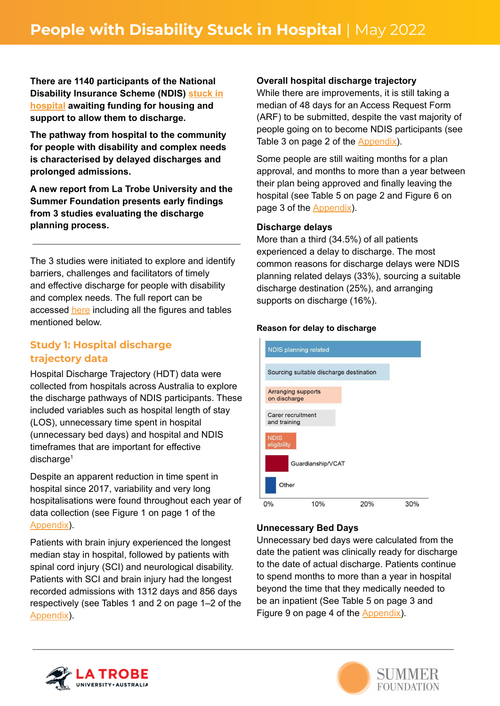**There are 1140 participants of the National Disability Insurance Scheme (NDIS) [stuck](https://www.aph.gov.au/api/qon/downloadestimatesquestions/EstimatesQuestion-CommitteeId2-EstimatesRoundId12-PortfolioId16-QuestionNumber50) in [hospital](https://www.aph.gov.au/api/qon/downloadestimatesquestions/EstimatesQuestion-CommitteeId2-EstimatesRoundId12-PortfolioId16-QuestionNumber50) awaiting funding for housing and support to allow them to discharge.**

**The pathway from hospital to the community for people with disability and complex needs is characterised by delayed discharges and prolonged admissions.**

**A new report from La Trobe University and the Summer Foundation presents early findings from 3 studies evaluating the discharge planning process.**

The 3 studies were initiated to explore and identify barriers, challenges and facilitators of timely and effective discharge for people with disability and complex needs. The full report can be accessed [here](https://www.summerfoundation.org.au/wp-content/uploads/2022/05/Evaluating-the-discharge-planning-process_May-2022-web.pdf) including all the figures and tables mentioned below.

# **Study 1: Hospital discharge trajectory data**

Hospital Discharge Trajectory (HDT) data were collected from hospitals across Australia to explore the discharge pathways of NDIS participants. These included variables such as hospital length of stay (LOS), unnecessary time spent in hospital (unnecessary bed days) and hospital and NDIS timeframes that are important for effective discharge<sup>1</sup>

Despite an apparent reduction in time spent in hospital since 2017, variability and very long hospitalisations were found throughout each year of data collection (see Figure 1 on page 1 of the [Appendix\)](https://www.summerfoundation.org.au/wp-content/uploads/2022/05/PWD-Stuck-in-Hopsital-Appendix.pdf).

Patients with brain injury experienced the longest median stay in hospital, followed by patients with spinal cord injury (SCI) and neurological disability. Patients with SCI and brain injury had the longest recorded admissions with 1312 days and 856 days respectively (see Tables 1 and 2 on page 1–2 of the [Appendix\)](https://www.summerfoundation.org.au/wp-content/uploads/2022/05/PWD-Stuck-in-Hopsital-Appendix.pdf).

### **Overall hospital discharge trajectory**

While there are improvements, it is still taking a median of 48 days for an Access Request Form (ARF) to be submitted, despite the vast majority of people going on to become NDIS participants (see Table 3 on page 2 of the [Appendix\)](https://www.summerfoundation.org.au/wp-content/uploads/2022/05/PWD-Stuck-in-Hopsital-Appendix.pdf).

Some people are still waiting months for a plan approval, and months to more than a year between their plan being approved and finally leaving the hospital (see Table 5 on page 2 and Figure 6 on page 3 of the [Appendix](https://www.summerfoundation.org.au/wp-content/uploads/2022/05/PWD-Stuck-in-Hopsital-Appendix.pdf)).

#### **Discharge delays**

More than a third (34.5%) of all patients experienced a delay to discharge. The most common reasons for discharge delays were NDIS planning related delays (33%), sourcing a suitable discharge destination (25%), and arranging supports on discharge (16%).

#### **Reason for delay to discharge**



#### **Unnecessary Bed Days**

Unnecessary bed days were calculated from the date the patient was clinically ready for discharge to the date of actual discharge. Patients continue to spend months to more than a year in hospital beyond the time that they medically needed to be an inpatient (See Table 5 on page 3 and Figure 9 on page 4 of the [Appendix\)](https://www.summerfoundation.org.au/wp-content/uploads/2022/05/PWD-Stuck-in-Hopsital-Appendix.pdf).